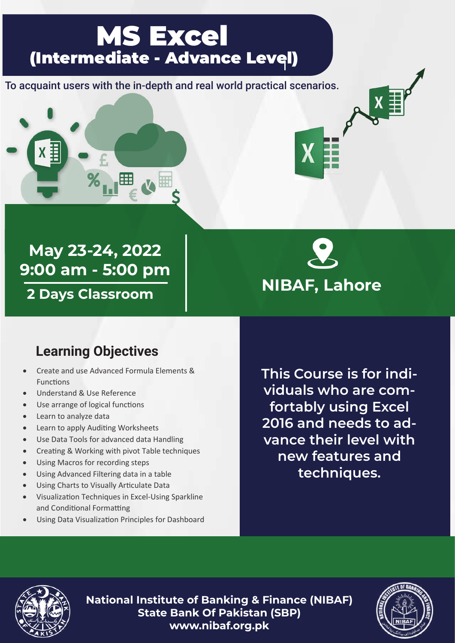# (Intermediate - Advance Level) MS Excel

To acquaint users with the in-depth and real world practical scenarios.



## **May 23-24, 2022 9:00 am - 5:00 pm 2 Days Classroom**



### **Learning Objectives**

- Create and use Advanced Formula Elements & Functions
- Understand & Use Reference
- Use arrange of logical functions
- Learn to analyze data
- Learn to apply Auditing Worksheets
- Use Data Tools for advanced data Handling
- Creating & Working with pivot Table techniques
- Using Macros for recording steps
- Using Advanced Filtering data in a table
- Using Charts to Visually Articulate Data
- Visualization Techniques in Excel-Using Sparkline and Conditional Formatting
- Using Data Visualization Principles for Dashboard

**This Course is for individuals who are comfortably using Excel 2016 and needs to advance their level with new features and techniques.**



**National Institute of Banking & Finance (NIBAF) State Bank Of Pakistan (SBP) www.nibaf.org.pk**